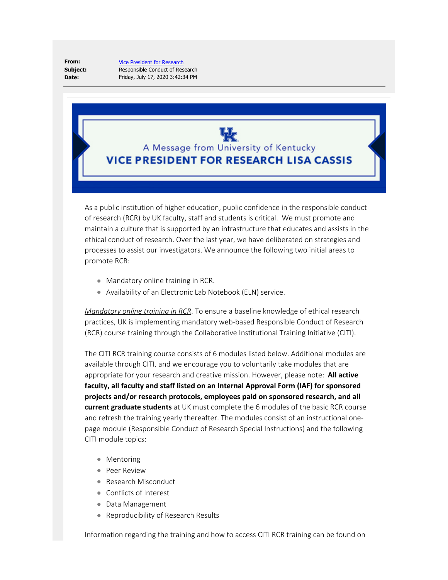**From: Subject: Date:**

[Vice President for Research](mailto:reply-243456-20333_HTML-122672793-10966798-0@lifecycle.uky.edu) Responsible Conduct of Research Friday, July 17, 2020 3:42:34 PM

A Message from University of Kentucky **VICE PRESIDENT FOR RESEARCH LISA CASSIS** 

As a public institution of higher education, public confidence in the responsible conduct of research (RCR) by UK faculty, staff and students is critical. We must promote and maintain a culture that is supported by an infrastructure that educates and assists in the ethical conduct of research. Over the last year, we have deliberated on strategies and processes to assist our investigators. We announce the following two initial areas to promote RCR:

- Mandatory online training in RCR.
- Availability of an Electronic Lab Notebook (ELN) service.

*Mandatory online training in RCR*. To ensure a baseline knowledge of ethical research practices, UK is implementing mandatory web-based Responsible Conduct of Research (RCR) course training through the Collaborative Institutional Training Initiative (CITI).

The CITI RCR training course consists of 6 modules listed below. Additional modules are available through CITI, and we encourage you to voluntarily take modules that are appropriate for your research and creative mission. However, please note: **All active faculty, all faculty and staff listed on an Internal Approval Form (IAF) for sponsored projects and/or research protocols, employees paid on sponsored research, and all current graduate students** at UK must complete the 6 modules of the basic RCR course and refresh the training yearly thereafter. The modules consist of an instructional onepage module (Responsible Conduct of Research Special Instructions) and the following CITI module topics:

- Mentoring
- Peer Review
- Research Misconduct
- Conflicts of Interest
- Data Management
- Reproducibility of Research Results

Information regarding the training and how to access CITI RCR training can be found on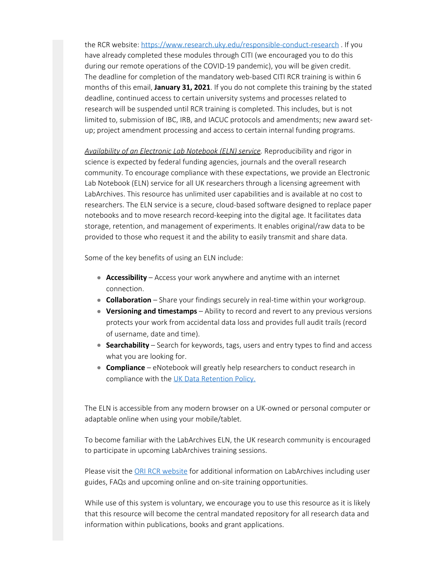the RCR website: [https://www.research.uky.edu/responsible-conduct-research](https://nam04.safelinks.protection.outlook.com/?url=http%3A%2F%2Fclick.lifecycle.uky.edu%2F%3Fqs%3D9534a360a6ce1800fe9f65a790980a4bcd3a6384806fee5fefb5cedde51308062066057b4f435e334eb9d30097cde57b3f000c2bab1bab99&data=02%7C01%7Cbaron.wolf%40uky.edu%7Cf6974bde249a4bf8e3c008d82a898c38%7C2b30530b69b64457b818481cb53d42ae%7C0%7C0%7C637306117533125736&sdata=o5TUVF6v6T9Khzh%2FtENUlyptgAB0%2BROUHhwlJOYSpw8%3D&reserved=0) . If you have already completed these modules through CITI (we encouraged you to do this during our remote operations of the COVID-19 pandemic), you will be given credit. The deadline for completion of the mandatory web-based CITI RCR training is within 6 months of this email, **January 31, 2021**. If you do not complete this training by the stated deadline, continued access to certain university systems and processes related to research will be suspended until RCR training is completed. This includes, but is not limited to, submission of IBC, IRB, and IACUC protocols and amendments; new award setup; project amendment processing and access to certain internal funding programs.

*Availability of an Electronic Lab Notebook (ELN) service.* Reproducibility and rigor in science is expected by federal funding agencies, journals and the overall research community. To encourage compliance with these expectations, we provide an Electronic Lab Notebook (ELN) service for all UK researchers through a licensing agreement with LabArchives. This resource has unlimited user capabilities and is available at no cost to researchers. The ELN service is a secure, cloud-based software designed to replace paper notebooks and to move research record-keeping into the digital age. It facilitates data storage, retention, and management of experiments. It enables original/raw data to be provided to those who request it and the ability to easily transmit and share data.

Some of the key benefits of using an ELN include:

- **Accessibility** Access your work anywhere and anytime with an internet connection.
- **Collaboration** Share your findings securely in real-time within your workgroup.
- **Versioning and timestamps** Ability to record and revert to any previous versions protects your work from accidental data loss and provides full audit trails (record of username, date and time).
- **Searchability** Search for keywords, tags, users and entry types to find and access what you are looking for.
- **Compliance** eNotebook will greatly help researchers to conduct research in compliance with the UK [Data Retention Policy](https://nam04.safelinks.protection.outlook.com/?url=http%3A%2F%2Fclick.lifecycle.uky.edu%2F%3Fqs%3D9534a360a6ce1800db01882711dff509daf911eb4f9ff641e4b00329b13d7198336597fc0c945371adc85a2f8dcaadebd4c119455d572a39&data=02%7C01%7Cbaron.wolf%40uky.edu%7Cf6974bde249a4bf8e3c008d82a898c38%7C2b30530b69b64457b818481cb53d42ae%7C0%7C0%7C637306117533125736&sdata=fYx671gLYhk7pnOSb2dH5SksI1xgx4HpqWjgwMshguQ%3D&reserved=0).

The ELN is accessible from any modern browser on a UK-owned or personal computer or adaptable online when using your mobile/tablet.

To become familiar with the LabArchives ELN, the UK research community is encouraged to participate in upcoming LabArchives training sessions.

Please visit the [ORI RCR website](https://nam04.safelinks.protection.outlook.com/?url=http%3A%2F%2Fclick.lifecycle.uky.edu%2F%3Fqs%3D9534a360a6ce1800496f2fc1b8103f05d893c454c67e6e3b83d5c420066f9774d1d7ce74871fabbbb68bd558e34fb8093f8885c3dcee6dc1&data=02%7C01%7Cbaron.wolf%40uky.edu%7Cf6974bde249a4bf8e3c008d82a898c38%7C2b30530b69b64457b818481cb53d42ae%7C0%7C0%7C637306117533135731&sdata=sEq3exrlsSzZ2L%2FjebtFBKGeBCcEn8cRtSXXLASLtZk%3D&reserved=0) for additional information on LabArchives including user guides, FAQs and upcoming online and on-site training opportunities.

While use of this system is voluntary, we encourage you to use this resource as it is likely that this resource will become the central mandated repository for all research data and information within publications, books and grant applications.